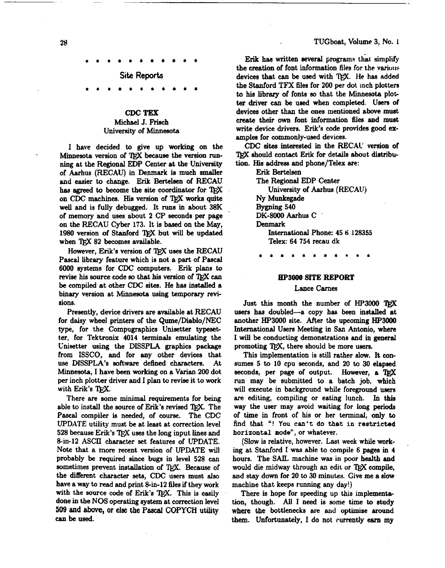#### TUGboat, Volume 3, No. I

**Site Reports** 

## **CDC TEX**  Michael J. Frisch University of Minnesota

I have decided to give up working on the Minnesota version of TFX because the version running at the Regional EDP Center at the University of Aarhus (RECAU) in Denmark is much smaller and easier to change. **Erik** Bertelsen of RECAU has agreed to become the site coordinator for TFX on CDC machines. His version of TFX works quite well and is fully debugged. It runs in about 38K of memory and uses about **2** CP seconds per page on the RECAU Cyber 173. It is based on the May, **1980** version of Stanford 'QjX but will **be** updated when TEX 82 becomes available.

However, Erik's version of TFX uses the RECAU Pascal library feature which is not a part of Pascal **6000** systems for **CDC** computers. Erik plans to revise his source code so that his version of TFX can be compiled at other CDC sites. He has installed a binary version at Minnesota using temporary **revi**sions.

Presently, device drivers are available at RECAU for daisy wheel printers of the Qume/Diablo/NEC type, for the Compugraphics Unisetter typesetter, for Tektronix **4014** terminals emulating the Unisetter using the DISSPLA graphics package from ISSCO, and for any other devices that use DISSPLA's software defined characters. At ,Minnesota, I have been working on a **Varian 200** dot per inch plotter driver and I plan to revise it to work with Erik's TFX.

There *are* some minimal requirements for being able to install the source of Erik's revised TEX. The Pascal compiler is needed, of course. The CDC UPDATE utility must be at least at correction level 528 because Erik's TFX uses the long input lines and 8-in-12 ASCII character set features of UPDATE. Note that a more recent version of UPDATE will probably be required since bugs in level **528 can**  sometimes prevent installation of TFX. Because of the different character sets, CDC users must also have a way to read and print 8-in-12 files if they work with the source code of Erik's T<sub>FX</sub>. This is easily done in the **NOS** operating system at correction level 509 and **she, or else the** *Pd* **COPYCH** utility *can* be used.

**Erik has written several programs that simplify** the creation of font information files for the various devices that can be used with 'QjX. **He** has added the Stanford **TFX** files for **200** per dot inch plotters to his library of fonts so that the Minnesota plot**ter driyer** can **be** uaed when completed. **Ueere** of devices other than the ones mentioned above muat create their own font information 6les and must write device drivers. Erik's code provides good examplea for commonly-used devices.

CDC sites interested in the **RECAC'** version of TFX should contact Erik for details about distribution. His address and phone/Telex are:

> Erik Bertelsen The Regional EDP Center University of Aarhus **(RECAUj**  Ny Munkegade **Bygning 540**  DK-8000 Aarhus C Denmark International Phone: 45 6 **,128355**  Telex: **64 754** recau dk

### *HP3000* **SlTE REPORT**

## Lance Carnes

Just this month the number of HP3000 TFX users has doubled-a copy has been installed at another **HP3000** site. After the upcoming **HP3000**  International **Users** Meeting in **San** Antonio, where I will be conducting demonstrations and in general promoting T<sub>FX</sub>, there should be more users.

This implementation is still rather slow. It **con**sumes 5 to **10** cpu seconds, and **20** to 30 elapsed seconds, per page of output. However, a TFX run may be submitted to a batch **job,** which will execute in background while foreground users are editing, compiling or eating lunch. In this way the user may avoid waiting for long periods of time in front of his or her terminal, only to find that "! You **can't** do **that** in restricted horizontal mode", or whatever.

(Slow is relative, however. Last week while working at Stanford I was able to compile 6 pages in 4 hours. The *SAIL* machine was in poor health and would die midway through an edit or TFX compile, and stay down for **20** to 30 minutes. Give me a slow machine that keeps running any day!)

There is hope for speeding up this implementation, though. All I need is **some** time to study where the bottlenecks are and optimize around them. Unfortunately, I do not currently earn my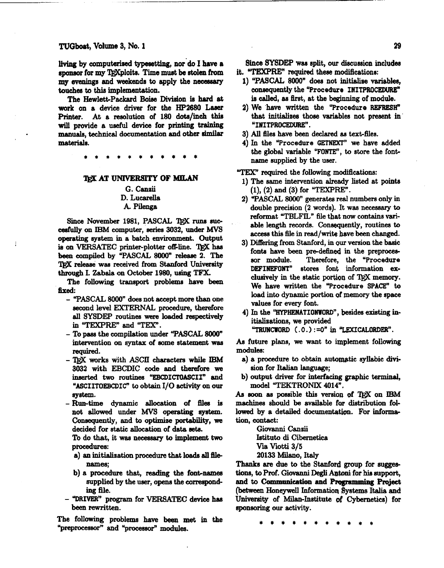TUGboet, Volume 3, No. **1** 

living by computerized typesetting, nor do I have a sponsor for my TRXploits. Time must be stolen from my ewnings and weekends to apply the *acaseary*  **touches** *to* **this** implementation.

The **HewIetbPackard Boise** Divieion is **hard** *at*  **work** on a device **driver** for the **HP2680 Laser**  Printer. At a resolution of 180 dots/inch this will provide a useful device for printing training manuals, technical documentation and other similar materials.

## TEX AT UNIVERSITY OF MILAN

## G. Canzii D. Lucarella A. Pilenga

Since November 1981, PASCAL TRX runs succesfully on **IBM** computer, series 3032, under MVS **operating** system in a batch environment. Output is on VERSATEC printer-plotter off-line. TFX has **been** compiled by "PASCAL 8000" **release** 2. The TFX release was received from Stanford University through I. Zabala on October 1980, using **TFX** 

The following transport problems have been **fired:** 

- **"PASCAL 8000" doea** not accept more than one second level **EXTERNAL** procedure, therefore **all** SYSDEP routines were loaded respectively in "TEXPRE" and "TEX".
- To **paee** the compilation under "PASCAL *8000"*  intervention on syntax of some statement was required.
- QX works with ASCII **charactera** while **IBM**  3032 with EBCDIC code and therefore **we**  inserted *two* routines "EBCDICTOASCII" and "ASCIITOEBCDIC" to obtain I/O activity on our system.
- Run-time dynamic allocation of files **is**  not **allowed** under **MVS** operating *syetem.*  Consequently, and to optimize portability, we decided for static allocation of data **sete.**

To do that, it was necessary to implement two procedures:

- **a)** an initidhation procedure that loads **all file**  names;
- b) a procedure that, reading the font-names supplied by the user, opens the correspond**ing** file.
- $-$  "DRIVER" program for **VERSATEC** device has been rewritten.

The following problems **have** been met in the "preproce%eor" and **"processor"** modules.

**Since SYSDEP** was split, our discussion includes it. **"TEXPRE"** required **these** modifications:

- 1) "PASCAL 8000" does not initialise variable8, consequently the "Procedure INITPROCEDURE" la **called, aa** first, at the **beginning** of module.
- 2) We 'have written the "Procedure **REFRESH"**  that initializes those variables not present in "INITPROCEDURE".
- 3) All files have been declared as text-files.
- 4) In the "Procedure **GETNEXT"** we have added the global variable **"FONTE",** to **store** the fontname eupplied by the user.

"TEX' **required** the following modifications:

- 1) The same intervention already listed at points (I), (2) and (3) for **"TEXPRE".**
- 2) "PASCAL **8000"** generatea **red** numbers only in double precision (2 words). It **was** necessary **to**  reformat **"TBLFIL"** file that **now** contains variable length records. Consequently, routines to **access** this file in read/wrik have been changed.
- 3) Differing from Stanford, in our version the basic fonts **have** been pre-defined **in** the preproces-Therefore, the "Procedure DEFINEFONT" stores font infomation *ex*clusively in the static portion of T<sub>R</sub>X memory. We have written the "Procedure SPACE" to load into dynamic portion of memory the *space*  values for **every** font.
- 4) In the "HYPHENATIONWORD", besides existing initializations, we provided "TRUNCWORD  $(.0.) := 0$ " in "LEXICALORDER".

As future plans, we want to implement following

- a) a procedure to obtain automatic syllabic divi**eion** for Italian **language;**
- b) output driver for interfacing graphic terminal, model "TEKTRONIX 4Ol4".

As soon as possible this version of TFX on IBM **machines** should be available for distribution followed by a detailed documentation. For information, contact:

> Giwanni **Canzii**  Istituto **di** Cibernetica **Via** Viotti 3/5 20133 Milano, Italy

modules:

Thanks are due to the Stanford group for suggestions, to Prof. Giovanni Degli Antoni for his support, and to **Communication** and **Programming Project (between** Honeywell Informatior\ **Iystema Italia** and University of **Milan-Institute sf** cybernetic^) for sponsoring our activity.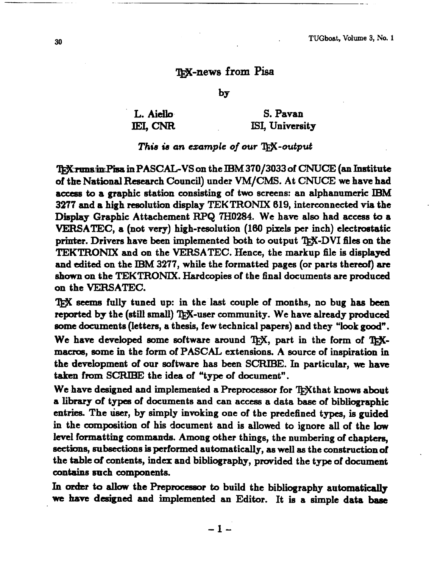# **=-news from Pisa**

by

L. Aiello **IEI, CNR** 

S. Pavan **ISI,** University

## *This* **is** *an example of our* **w-output**

'I&\$rmmiolPisa in **PASCAGVS** on the **IBM** 370/3033 of **CNUCE** (an Institute of the National Research Council) under VM/CMS. At **CNUCE we** have had access to a graphic station consisting of two screens: an alphanumeric IBM 3277 and a high reeolution display TEKTRONIX 619, interconnected via the **Display** Graphic Attachement **R9Q 7H0284.** We have also had access **to** a **VERSATEC,** a (not very) high-resolution (160 pixels per inch) electrostatic printer. Drivers have been implemented both to output T<sub>F</sub>X-DVI files on the **TEKTRONIX** and on the VERSATEC. Hence, the markup file is displayed and edited on the **IBM** 3277, while the formatted pages (or parts thenof) **are**  shown on the TEKTRONIX. Hardcopies of the final documents are produced on the **VERSATEC.** 

**TEX** seems fully tuned up: in the last couple of months, no bug has been reported by the (still small) T<sub>E</sub>X-user community. We have already produced **some** documents (letters, a thesis, few technical papers) and they "look **goodw.**  reported by the (still small) T<sub>E</sub>X-user community. We have already productions some documents (letters, a thesis, few technical papers) and they "look good We have developed some software around T<sub>E</sub>X, part in the form of

macros, some in the form of PASCAL extensions. A source of inspiration in the development of our software has been **SCRIBE.** In particular, **we** have taken from **SCRIHE** the idea of "type of document".

We have designed and implemented a Preprocessor for TrXthat knows about a **library** of types of documents and can access a data **base** of bibliographic entries. The user, by simply invoking one of the predefined types, is guided in the composition of his document and is allowed to ignore all of the low level formatting commands. Among other things, the numbering of chapten, sections, subsections is performed automatically, as well as the construction of the table of contents, index and bibliography, provided the type of document contains gnch components.

In order to allow the Preprocessor to build the bibliography automatically we have designed and implemented an Editor. It is a simple data base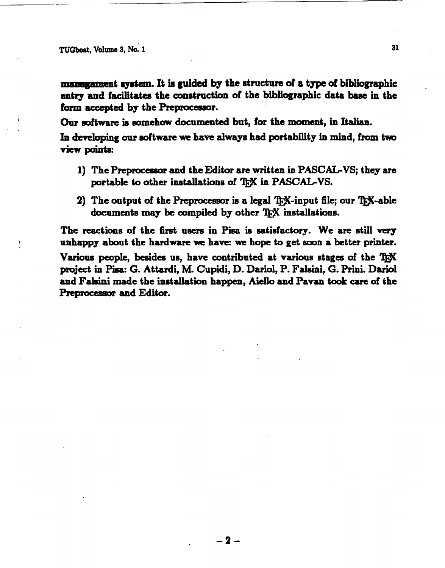**TUOboet, Volume 5, No. 1 31** 

*manugament* system. It is guided by the structure of a type of bibliographic entry and facilitates the construction of the bibliographic data base in the form accepted by the **Preprocessor**.

Our **software** is somehow documented but, for the moment, in Italian.

In developing our software we have always had portability in mind, from two **view** points:

- **1)** The Preprocessor and the Editor **are** written in **PASCAL-VS;** they are portable to other installations of T<sub>EX</sub> in PASCAL-VS.
- 2) The output of the Preprocessor is a legal  $\rm{Tr}X$ -input file; our  $\rm{Tr}X$ -able documents **may be** compiled by other installations.

The reactions of the first users in Pisa is satisfactory. We are still very **nnhsppy** about the hardware **we** have: **we** hope to get **soon** a better printer.

Various people, besides us, have contributed at various stages of the T<sub>EX</sub> project in Pisa: G. Attardi, M. Cupidi, D. Dariol, P. Falsini, G. Prini. Dariol and **Faleini** made the **inetallation** happen, Aiello and Pavan **took care** of the Preprocessor and Editor.